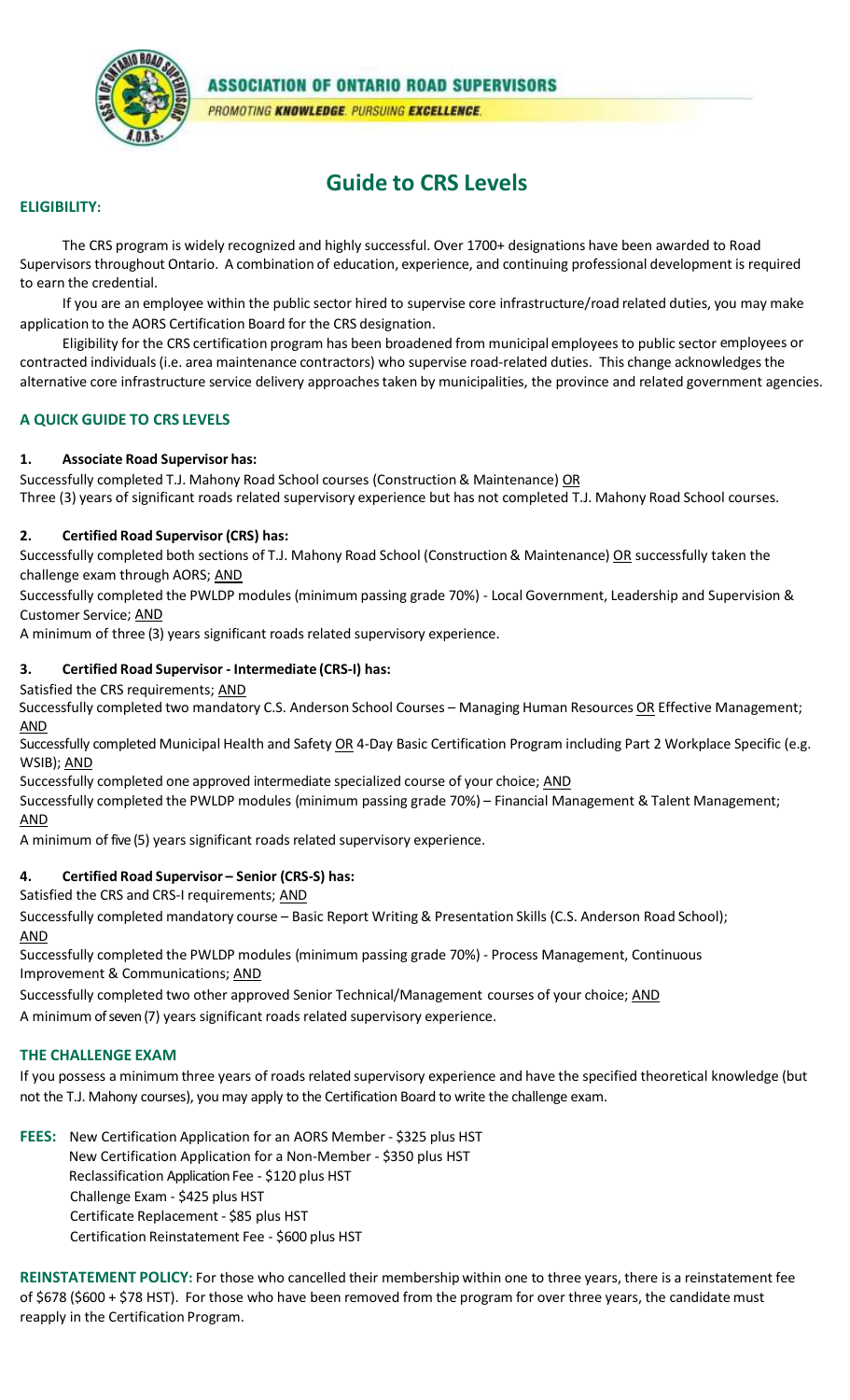

**ASSOCIATION OF ONTARIO ROAD SUPERVISORS** PROMOTING KNOWLEDGE. PURSUING EXCELLENCE.

# **Guide to CRS Levels**

#### **ELIGIBILITY:**

The CRS program is widely recognized and highly successful. Over 1700+ designations have been awarded to Road Supervisors throughout Ontario. A combination of education, experience, and continuing professional development is required to earn the credential.

If you are an employee within the public sector hired to supervise core infrastructure/road related duties, you may make application to the AORS Certification Board for the CRS designation.

Eligibility for the CRS certification program has been broadened from municipal employees to public sector employees or contracted individuals(i.e. area maintenance contractors) who supervise road-related duties. This change acknowledges the alternative core infrastructure service delivery approaches taken by municipalities, the province and related government agencies.

### **A QUICK GUIDE TO CRS LEVELS**

#### **1. Associate Road Supervisor has:**

Successfully completed T.J. Mahony Road School courses (Construction & Maintenance) OR Three (3) years of significant roads related supervisory experience but has not completed T.J. Mahony Road School courses.

#### **2. Certified Road Supervisor (CRS) has:**

Successfully completed both sections of T.J. Mahony Road School (Construction & Maintenance) OR successfully taken the challenge exam through AORS; AND

Successfully completed the PWLDP modules (minimum passing grade 70%) - Local Government, Leadership and Supervision & Customer Service; AND

A minimum of three (3) years significant roads related supervisory experience.

#### **3. Certified Road Supervisor - Intermediate (CRS-I) has:**

#### Satisfied the CRS requirements; AND

 Successfully completed two mandatory C.S. Anderson School Courses – Managing Human Resources OR Effective Management; AND

Successfully completed Municipal Health and Safety OR 4-Day Basic Certification Program including Part 2 Workplace Specific (e.g. WSIB); AND

Successfully completed one approved intermediate specialized course of your choice; AND

Successfully completed the PWLDP modules (minimum passing grade 70%) – Financial Management & Talent Management; AND

A minimum of five (5) years significant roads related supervisory experience.

#### **4. Certified Road Supervisor – Senior (CRS-S) has:**

Satisfied the CRS and CRS-I requirements; AND

Successfully completed mandatory course – Basic Report Writing& Presentation Skills (C.S. Anderson Road School); AND

Successfully completed the PWLDP modules (minimum passing grade 70%) - Process Management, Continuous Improvement & Communications; AND

Successfully completed two other approved Senior Technical/Management courses of your choice; AND A minimum of seven (7) years significant roads related supervisory experience.

#### **THE CHALLENGE EXAM**

If you possess a minimum three years of roads related supervisory experience and have the specified theoretical knowledge (but not the T.J. Mahony courses), youmay apply to the Certification Board to write the challenge exam.

FEES: New Certification Application for an AORS Member - \$325 plus HST New Certification Application for a Non-Member - \$350 plus HST Reclassification Application Fee - \$120 plus HST Challenge Exam - \$425 plus HST Certificate Replacement - \$85 plus HST Certification Reinstatement Fee - \$600 plus HST

**REINSTATEMENT POLICY:** For those who cancelled their membership within one to three years, there is a reinstatement fee of \$678 (\$600 + \$78 HST). For those who have been removed from the program for over three years, the candidate must reapply in the Certification Program.